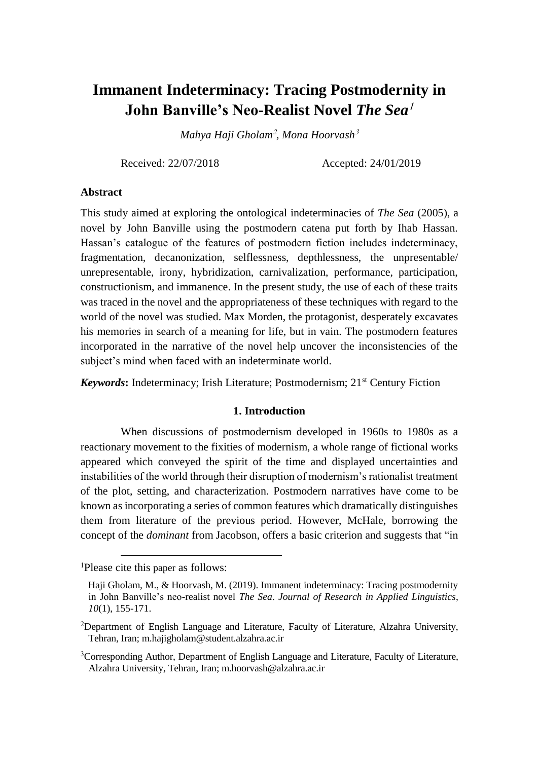# **Immanent Indeterminacy: Tracing Postmodernity in John Banville's Neo-Realist Novel The Sea<sup>1</sup>**

*Mahya Haji Gholam*<sup>2</sup> *, Mona Hoorvash*<sup>3</sup>

Received: 22/07/2018 Accepted: 24/01/2019

### **Abstract**

This study aimed at exploring the ontological indeterminacies of *The Sea* (2005), a novel by John Banville using the postmodern catena put forth by Ihab Hassan. Hassan's catalogue of the features of postmodern fiction includes indeterminacy, fragmentation, decanonization, selflessness, depthlessness, the unpresentable/ unrepresentable, irony, hybridization, carnivalization, performance, participation, constructionism, and immanence. In the present study, the use of each of these traits was traced in the novel and the appropriateness of these techniques with regard to the world of the novel was studied. Max Morden, the protagonist, desperately excavates his memories in search of a meaning for life, but in vain. The postmodern features incorporated in the narrative of the novel help uncover the inconsistencies of the subject's mind when faced with an indeterminate world.

*Keywords***:** Indeterminacy; Irish Literature; Postmodernism; 21st Century Fiction

# **1. Introduction**

When discussions of postmodernism developed in 1960s to 1980s as a reactionary movement to the fixities of modernism, a whole range of fictional works appeared which conveyed the spirit of the time and displayed uncertainties and instabilities of the world through their disruption of modernism's rationalist treatment of the plot, setting, and characterization. Postmodern narratives have come to be known as incorporating a series of common features which dramatically distinguishes them from literature of the previous period. However, McHale, borrowing the concept of the *dominant* from Jacobson, offers a basic criterion and suggests that "in

 $\overline{a}$ 

<sup>1</sup>Please cite this paper as follows:

Haji Gholam, M., & Hoorvash, M. (2019). Immanent indeterminacy: Tracing postmodernity in John Banville's neo-realist novel *The Sea*. *Journal of Research in Applied Linguistics*, *10*(1), 155-171.

<sup>2</sup>Department of English Language and Literature, Faculty of Literature, Alzahra University, Tehran, Iran; [m.hajigholam@student.alzahra.ac.ir](mailto:m.hajigholam@student.alzahra.ac.ir)

<sup>&</sup>lt;sup>3</sup>Corresponding Author, Department of English Language and Literature, Faculty of Literature, Alzahra University, Tehran, Iran; m.hoorvash@alzahra.ac.ir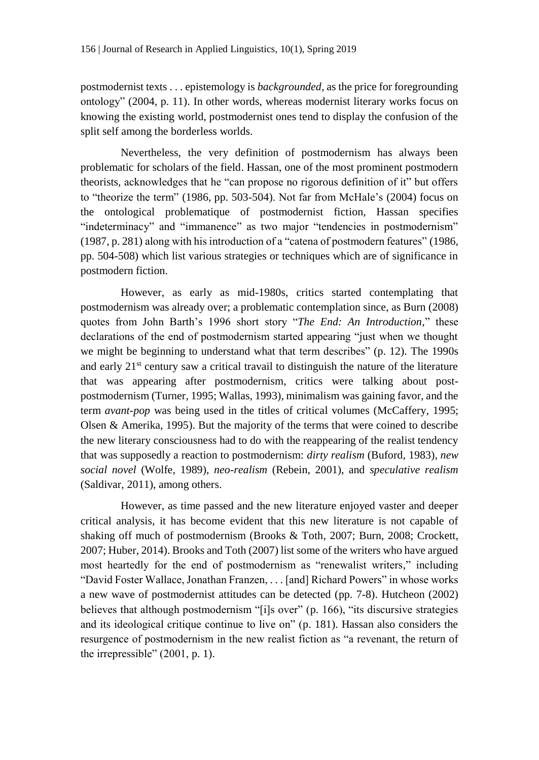postmodernist texts . . . epistemology is *backgrounded*, as the price for foregrounding ontology" (2004, p. 11). In other words, whereas modernist literary works focus on knowing the existing world, postmodernist ones tend to display the confusion of the split self among the borderless worlds.

Nevertheless, the very definition of postmodernism has always been problematic for scholars of the field. Hassan, one of the most prominent postmodern theorists, acknowledges that he "can propose no rigorous definition of it" but offers to "theorize the term" (1986, pp. 503-504). Not far from McHale's (2004) focus on the ontological problematique of postmodernist fiction, Hassan specifies "indeterminacy" and "immanence" as two major "tendencies in postmodernism" (1987, p. 281) along with his introduction of a "catena of postmodern features" (1986, pp. 504-508) which list various strategies or techniques which are of significance in postmodern fiction.

However, as early as mid-1980s, critics started contemplating that postmodernism was already over; a problematic contemplation since, as Burn (2008) quotes from John Barth's 1996 short story "*The End: An Introduction*," these declarations of the end of postmodernism started appearing "just when we thought we might be beginning to understand what that term describes" (p. 12). The 1990s and early  $21<sup>st</sup>$  century saw a critical travail to distinguish the nature of the literature that was appearing after postmodernism, critics were talking about postpostmodernism (Turner, 1995; Wallas, 1993), minimalism was gaining favor, and the term *avant-pop* was being used in the titles of critical volumes (McCaffery, 1995; Olsen & Amerika, 1995). But the majority of the terms that were coined to describe the new literary consciousness had to do with the reappearing of the realist tendency that was supposedly a reaction to postmodernism: *dirty realism* (Buford, 1983), *new social novel* (Wolfe, 1989), *neo-realism* (Rebein, 2001), and *speculative realism* (Saldivar, 2011), among others.

However, as time passed and the new literature enjoyed vaster and deeper critical analysis, it has become evident that this new literature is not capable of shaking off much of postmodernism (Brooks & Toth, 2007; Burn, 2008; Crockett, 2007; Huber, 2014). Brooks and Toth (2007) list some of the writers who have argued most heartedly for the end of postmodernism as "renewalist writers," including "David Foster Wallace, Jonathan Franzen, . . . [and] Richard Powers" in whose works a new wave of postmodernist attitudes can be detected (pp. 7-8). Hutcheon (2002) believes that although postmodernism "[i]s over" (p. 166), "its discursive strategies and its ideological critique continue to live on" (p. 181). Hassan also considers the resurgence of postmodernism in the new realist fiction as "a revenant, the return of the irrepressible" (2001, p. 1).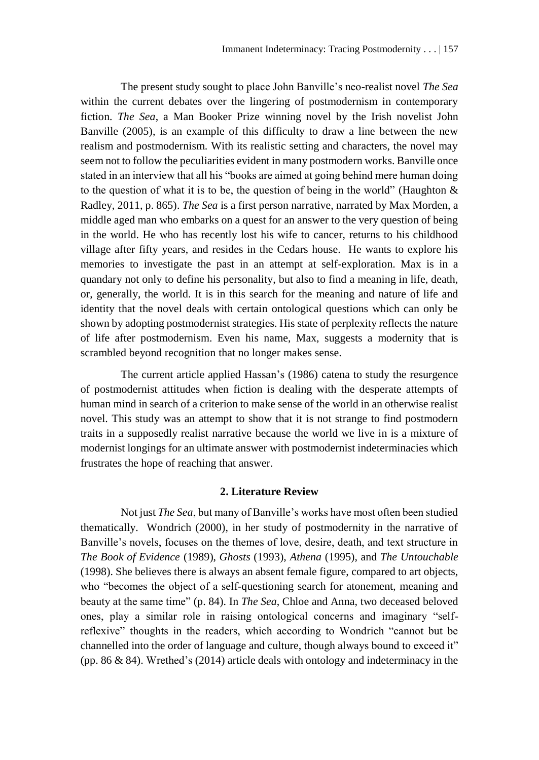The present study sought to place John Banville's neo-realist novel *The Sea* within the current debates over the lingering of postmodernism in contemporary fiction. *The Sea*, a Man Booker Prize winning novel by the Irish novelist John Banville (2005), is an example of this difficulty to draw a line between the new realism and postmodernism. With its realistic setting and characters, the novel may seem not to follow the peculiarities evident in many postmodern works. Banville once stated in an interview that all his "books are aimed at going behind mere human doing to the question of what it is to be, the question of being in the world" (Haughton & Radley, 2011, p. 865). *The Sea* is a first person narrative, narrated by Max Morden, a middle aged man who embarks on a quest for an answer to the very question of being in the world. He who has recently lost his wife to cancer, returns to his childhood village after fifty years, and resides in the Cedars house. He wants to explore his memories to investigate the past in an attempt at self-exploration. Max is in a quandary not only to define his personality, but also to find a meaning in life, death, or, generally, the world. It is in this search for the meaning and nature of life and identity that the novel deals with certain ontological questions which can only be shown by adopting postmodernist strategies. His state of perplexity reflects the nature of life after postmodernism. Even his name, Max, suggests a modernity that is scrambled beyond recognition that no longer makes sense.

The current article applied Hassan's (1986) catena to study the resurgence of postmodernist attitudes when fiction is dealing with the desperate attempts of human mind in search of a criterion to make sense of the world in an otherwise realist novel. This study was an attempt to show that it is not strange to find postmodern traits in a supposedly realist narrative because the world we live in is a mixture of modernist longings for an ultimate answer with postmodernist indeterminacies which frustrates the hope of reaching that answer.

# **2. Literature Review**

Not just *The Sea*, but many of Banville's works have most often been studied thematically. Wondrich (2000), in her study of postmodernity in the narrative of Banville's novels, focuses on the themes of love, desire, death, and text structure in *The Book of Evidence* (1989), *Ghosts* (1993), *Athena* (1995), and *The Untouchable* (1998). She believes there is always an absent female figure, compared to art objects, who "becomes the object of a self-questioning search for atonement, meaning and beauty at the same time" (p. 84). In *The Sea*, Chloe and Anna, two deceased beloved ones, play a similar role in raising ontological concerns and imaginary "selfreflexive" thoughts in the readers, which according to Wondrich "cannot but be channelled into the order of language and culture, though always bound to exceed it" (pp. 86 & 84). Wrethed's (2014) article deals with ontology and indeterminacy in the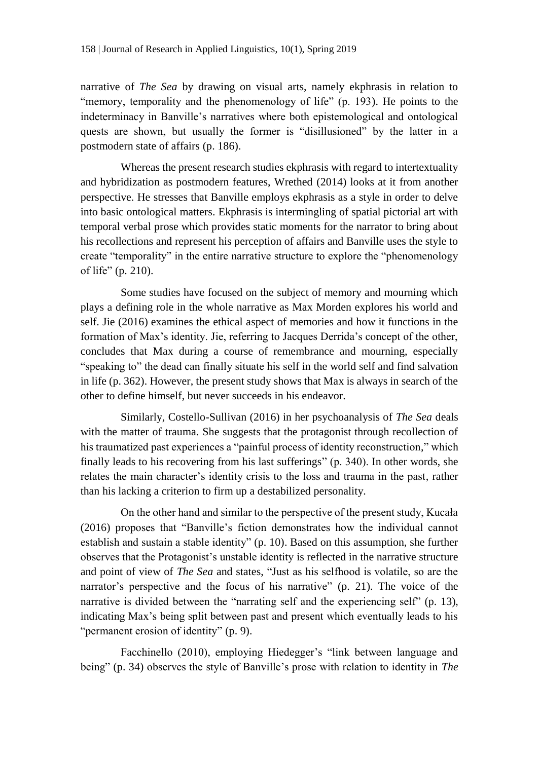narrative of *The Sea* by drawing on visual arts, namely ekphrasis in relation to "memory, temporality and the phenomenology of life" (p. 193). He points to the indeterminacy in Banville's narratives where both epistemological and ontological quests are shown, but usually the former is "disillusioned" by the latter in a postmodern state of affairs (p. 186).

Whereas the present research studies ekphrasis with regard to intertextuality and hybridization as postmodern features, Wrethed (2014) looks at it from another perspective. He stresses that Banville employs ekphrasis as a style in order to delve into basic ontological matters. Ekphrasis is intermingling of spatial pictorial art with temporal verbal prose which provides static moments for the narrator to bring about his recollections and represent his perception of affairs and Banville uses the style to create "temporality" in the entire narrative structure to explore the "phenomenology of life" (p. 210).

Some studies have focused on the subject of memory and mourning which plays a defining role in the whole narrative as Max Morden explores his world and self. Jie (2016) examines the ethical aspect of memories and how it functions in the formation of Max's identity. Jie, referring to Jacques Derrida's concept of the other, concludes that Max during a course of remembrance and mourning, especially "speaking to" the dead can finally situate his self in the world self and find salvation in life (p. 362). However, the present study shows that Max is always in search of the other to define himself, but never succeeds in his endeavor.

Similarly, Costello-Sullivan (2016) in her psychoanalysis of *The Sea* deals with the matter of trauma*.* She suggests that the protagonist through recollection of his traumatized past experiences a "painful process of identity reconstruction," which finally leads to his recovering from his last sufferings" (p. 340). In other words, she relates the main character's identity crisis to the loss and trauma in the past, rather than his lacking a criterion to firm up a destabilized personality.

On the other hand and similar to the perspective of the present study, Kucała (2016) proposes that "Banville's fiction demonstrates how the individual cannot establish and sustain a stable identity" (p. 10). Based on this assumption, she further observes that the Protagonist's unstable identity is reflected in the narrative structure and point of view of *The Sea* and states, "Just as his selfhood is volatile, so are the narrator's perspective and the focus of his narrative" (p. 21). The voice of the narrative is divided between the "narrating self and the experiencing self" (p. 13), indicating Max's being split between past and present which eventually leads to his "permanent erosion of identity" (p. 9).

Facchinello (2010), employing Hiedegger's "link between language and being" (p. 34) observes the style of Banville's prose with relation to identity in *The*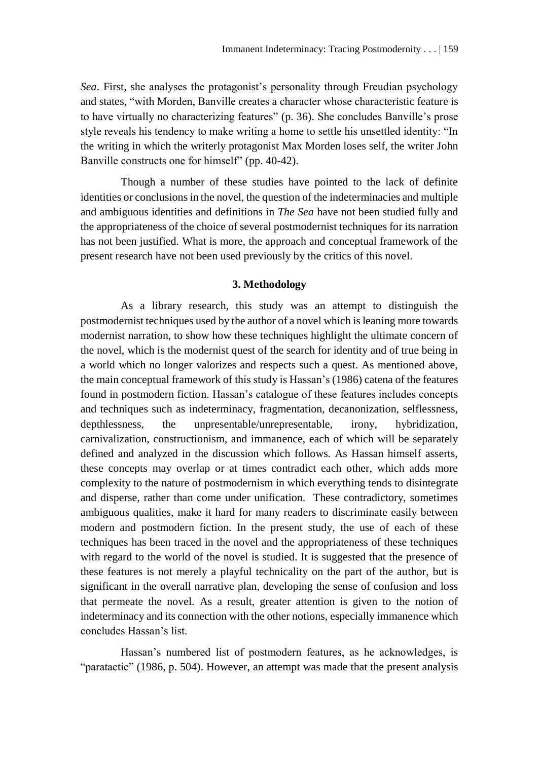*Sea*. First, she analyses the protagonist's personality through Freudian psychology and states, "with Morden, Banville creates a character whose characteristic feature is to have virtually no characterizing features" (p. 36). She concludes Banville's prose style reveals his tendency to make writing a home to settle his unsettled identity: "In the writing in which the writerly protagonist Max Morden loses self, the writer John Banville constructs one for himself" (pp. 40-42).

Though a number of these studies have pointed to the lack of definite identities or conclusions in the novel, the question of the indeterminacies and multiple and ambiguous identities and definitions in *The Sea* have not been studied fully and the appropriateness of the choice of several postmodernist techniques for its narration has not been justified. What is more, the approach and conceptual framework of the present research have not been used previously by the critics of this novel.

# **3. Methodology**

As a library research, this study was an attempt to distinguish the postmodernist techniques used by the author of a novel which is leaning more towards modernist narration, to show how these techniques highlight the ultimate concern of the novel, which is the modernist quest of the search for identity and of true being in a world which no longer valorizes and respects such a quest. As mentioned above, the main conceptual framework of this study is Hassan's (1986) catena of the features found in postmodern fiction. Hassan's catalogue of these features includes concepts and techniques such as indeterminacy, fragmentation, decanonization, selflessness, depthlessness, the unpresentable/unrepresentable, irony, hybridization, carnivalization, constructionism, and immanence, each of which will be separately defined and analyzed in the discussion which follows. As Hassan himself asserts, these concepts may overlap or at times contradict each other, which adds more complexity to the nature of postmodernism in which everything tends to disintegrate and disperse, rather than come under unification. These contradictory, sometimes ambiguous qualities, make it hard for many readers to discriminate easily between modern and postmodern fiction. In the present study, the use of each of these techniques has been traced in the novel and the appropriateness of these techniques with regard to the world of the novel is studied. It is suggested that the presence of these features is not merely a playful technicality on the part of the author, but is significant in the overall narrative plan, developing the sense of confusion and loss that permeate the novel. As a result, greater attention is given to the notion of indeterminacy and its connection with the other notions, especially immanence which concludes Hassan's list.

Hassan's numbered list of postmodern features, as he acknowledges, is "paratactic" (1986, p. 504). However, an attempt was made that the present analysis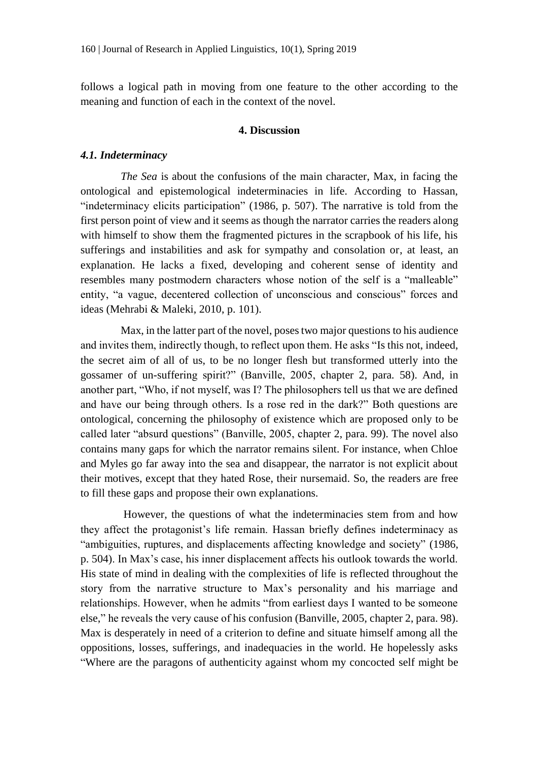follows a logical path in moving from one feature to the other according to the meaning and function of each in the context of the novel.

# **4. Discussion**

# *4.1. Indeterminacy*

*The Sea* is about the confusions of the main character, Max, in facing the ontological and epistemological indeterminacies in life. According to Hassan, "indeterminacy elicits participation" (1986, p. 507). The narrative is told from the first person point of view and it seems as though the narrator carries the readers along with himself to show them the fragmented pictures in the scrapbook of his life, his sufferings and instabilities and ask for sympathy and consolation or, at least, an explanation. He lacks a fixed, developing and coherent sense of identity and resembles many postmodern characters whose notion of the self is a "malleable" entity, "a vague, decentered collection of unconscious and conscious" forces and ideas (Mehrabi & Maleki, 2010, p. 101).

Max, in the latter part of the novel, poses two major questions to his audience and invites them, indirectly though, to reflect upon them. He asks "Is this not, indeed, the secret aim of all of us, to be no longer flesh but transformed utterly into the gossamer of un-suffering spirit?" (Banville, 2005, chapter 2, para. 58). And, in another part, "Who, if not myself, was I? The philosophers tell us that we are defined and have our being through others. Is a rose red in the dark?" Both questions are ontological, concerning the philosophy of existence which are proposed only to be called later "absurd questions" (Banville, 2005, chapter 2, para. 99). The novel also contains many gaps for which the narrator remains silent. For instance, when Chloe and Myles go far away into the sea and disappear, the narrator is not explicit about their motives, except that they hated Rose, their nursemaid. So, the readers are free to fill these gaps and propose their own explanations.

However, the questions of what the indeterminacies stem from and how they affect the protagonist's life remain. Hassan briefly defines indeterminacy as "ambiguities, ruptures, and displacements affecting knowledge and society" (1986, p. 504). In Max's case, his inner displacement affects his outlook towards the world. His state of mind in dealing with the complexities of life is reflected throughout the story from the narrative structure to Max's personality and his marriage and relationships. However, when he admits "from earliest days I wanted to be someone else," he reveals the very cause of his confusion (Banville, 2005, chapter 2, para. 98). Max is desperately in need of a criterion to define and situate himself among all the oppositions, losses, sufferings, and inadequacies in the world. He hopelessly asks "Where are the paragons of authenticity against whom my concocted self might be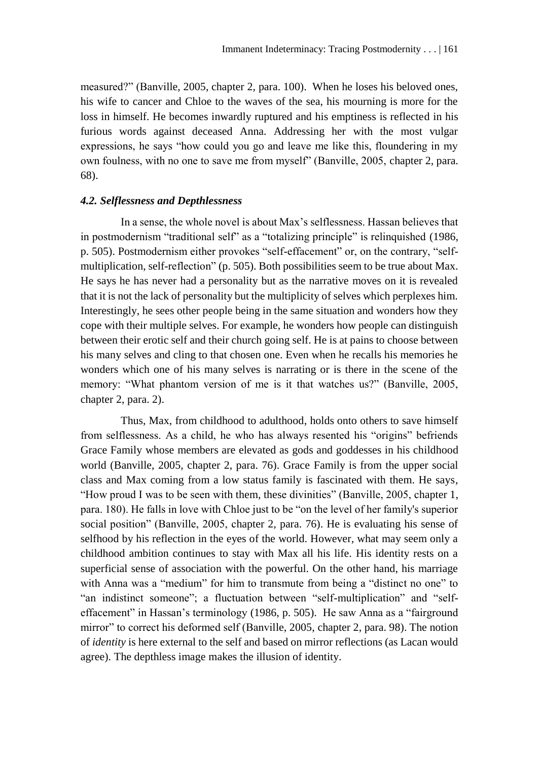measured?" (Banville, 2005, chapter 2, para. 100). When he loses his beloved ones, his wife to cancer and Chloe to the waves of the sea, his mourning is more for the loss in himself. He becomes inwardly ruptured and his emptiness is reflected in his furious words against deceased Anna. Addressing her with the most vulgar expressions, he says "how could you go and leave me like this, floundering in my own foulness, with no one to save me from myself" (Banville, 2005, chapter 2, para. 68).

# *4.2. Selflessness and Depthlessness*

In a sense, the whole novel is about Max's selflessness. Hassan believes that in postmodernism "traditional self" as a "totalizing principle" is relinquished (1986, p. 505). Postmodernism either provokes "self-effacement" or, on the contrary, "selfmultiplication, self-reflection" (p. 505). Both possibilities seem to be true about Max. He says he has never had a personality but as the narrative moves on it is revealed that it is not the lack of personality but the multiplicity of selves which perplexes him. Interestingly, he sees other people being in the same situation and wonders how they cope with their multiple selves. For example, he wonders how people can distinguish between their erotic self and their church going self. He is at pains to choose between his many selves and cling to that chosen one. Even when he recalls his memories he wonders which one of his many selves is narrating or is there in the scene of the memory: "What phantom version of me is it that watches us?" (Banville, 2005, chapter 2, para. 2).

Thus, Max, from childhood to adulthood, holds onto others to save himself from selflessness. As a child, he who has always resented his "origins" befriends Grace Family whose members are elevated as gods and goddesses in his childhood world (Banville, 2005, chapter 2, para. 76). Grace Family is from the upper social class and Max coming from a low status family is fascinated with them. He says, "How proud I was to be seen with them, these divinities" (Banville, 2005, chapter 1, para. 180). He falls in love with Chloe just to be "on the level of her family's superior social position" (Banville, 2005, chapter 2, para. 76). He is evaluating his sense of selfhood by his reflection in the eyes of the world. However, what may seem only a childhood ambition continues to stay with Max all his life. His identity rests on a superficial sense of association with the powerful. On the other hand, his marriage with Anna was a "medium" for him to transmute from being a "distinct no one" to "an indistinct someone"; a fluctuation between "self-multiplication" and "selfeffacement" in Hassan's terminology (1986, p. 505). He saw Anna as a "fairground mirror" to correct his deformed self (Banville, 2005, chapter 2, para. 98). The notion of *identity* is here external to the self and based on mirror reflections (as Lacan would agree). The depthless image makes the illusion of identity.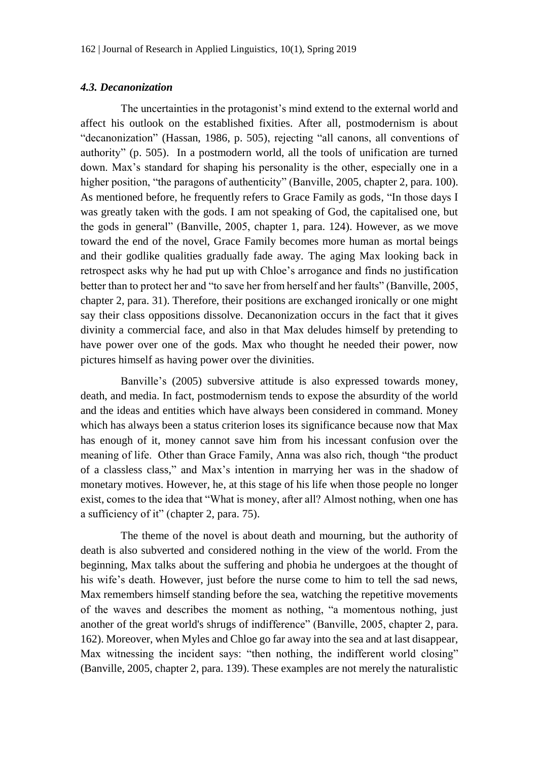# *4.3. Decanonization*

The uncertainties in the protagonist's mind extend to the external world and affect his outlook on the established fixities. After all, postmodernism is about "decanonization" (Hassan, 1986, p. 505), rejecting "all canons, all conventions of authority" (p. 505). In a postmodern world, all the tools of unification are turned down. Max's standard for shaping his personality is the other, especially one in a higher position, "the paragons of authenticity" (Banville, 2005, chapter 2, para. 100). As mentioned before, he frequently refers to Grace Family as gods, "In those days I was greatly taken with the gods. I am not speaking of God, the capitalised one, but the gods in general" (Banville, 2005, chapter 1, para. 124). However, as we move toward the end of the novel, Grace Family becomes more human as mortal beings and their godlike qualities gradually fade away. The aging Max looking back in retrospect asks why he had put up with Chloe's arrogance and finds no justification better than to protect her and "to save her from herself and her faults" (Banville, 2005, chapter 2, para. 31). Therefore, their positions are exchanged ironically or one might say their class oppositions dissolve. Decanonization occurs in the fact that it gives divinity a commercial face, and also in that Max deludes himself by pretending to have power over one of the gods. Max who thought he needed their power, now pictures himself as having power over the divinities.

Banville's (2005) subversive attitude is also expressed towards money, death, and media. In fact, postmodernism tends to expose the absurdity of the world and the ideas and entities which have always been considered in command. Money which has always been a status criterion loses its significance because now that Max has enough of it, money cannot save him from his incessant confusion over the meaning of life. Other than Grace Family, Anna was also rich, though "the product of a classless class," and Max's intention in marrying her was in the shadow of monetary motives. However, he, at this stage of his life when those people no longer exist, comes to the idea that "What is money, after all? Almost nothing, when one has a sufficiency of it" (chapter 2, para. 75).

The theme of the novel is about death and mourning, but the authority of death is also subverted and considered nothing in the view of the world. From the beginning, Max talks about the suffering and phobia he undergoes at the thought of his wife's death. However, just before the nurse come to him to tell the sad news, Max remembers himself standing before the sea, watching the repetitive movements of the waves and describes the moment as nothing, "a momentous nothing, just another of the great world's shrugs of indifference" (Banville, 2005, chapter 2, para. 162). Moreover, when Myles and Chloe go far away into the sea and at last disappear, Max witnessing the incident says: "then nothing, the indifferent world closing" (Banville, 2005, chapter 2, para. 139). These examples are not merely the naturalistic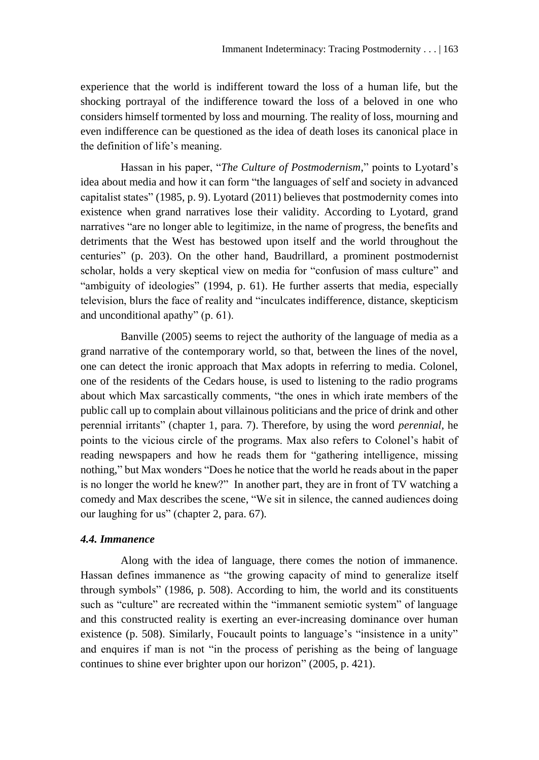experience that the world is indifferent toward the loss of a human life, but the shocking portrayal of the indifference toward the loss of a beloved in one who considers himself tormented by loss and mourning. The reality of loss, mourning and even indifference can be questioned as the idea of death loses its canonical place in the definition of life's meaning.

Hassan in his paper, "*The Culture of Postmodernism*," points to Lyotard's idea about media and how it can form "the languages of self and society in advanced capitalist states" (1985, p. 9). Lyotard (2011) believes that postmodernity comes into existence when grand narratives lose their validity. According to Lyotard, grand narratives "are no longer able to legitimize, in the name of progress, the benefits and detriments that the West has bestowed upon itself and the world throughout the centuries" (p. 203). On the other hand, Baudrillard, a prominent postmodernist scholar, holds a very skeptical view on media for "confusion of mass culture" and "ambiguity of ideologies" (1994, p. 61). He further asserts that media, especially television, blurs the face of reality and "inculcates indifference, distance, skepticism and unconditional apathy" (p. 61).

Banville (2005) seems to reject the authority of the language of media as a grand narrative of the contemporary world, so that, between the lines of the novel, one can detect the ironic approach that Max adopts in referring to media. Colonel, one of the residents of the Cedars house, is used to listening to the radio programs about which Max sarcastically comments, "the ones in which irate members of the public call up to complain about villainous politicians and the price of drink and other perennial irritants" (chapter 1, para. 7). Therefore, by using the word *perennial*, he points to the vicious circle of the programs. Max also refers to Colonel's habit of reading newspapers and how he reads them for "gathering intelligence, missing nothing," but Max wonders "Does he notice that the world he reads about in the paper is no longer the world he knew?" In another part, they are in front of TV watching a comedy and Max describes the scene, "We sit in silence, the canned audiences doing our laughing for us" (chapter 2, para. 67).

#### *4.4. Immanence*

Along with the idea of language, there comes the notion of immanence. Hassan defines immanence as "the growing capacity of mind to generalize itself through symbols" (1986, p. 508). According to him, the world and its constituents such as "culture" are recreated within the "immanent semiotic system" of language and this constructed reality is exerting an ever-increasing dominance over human existence (p. 508). Similarly, Foucault points to language's "insistence in a unity" and enquires if man is not "in the process of perishing as the being of language continues to shine ever brighter upon our horizon" (2005, p. 421).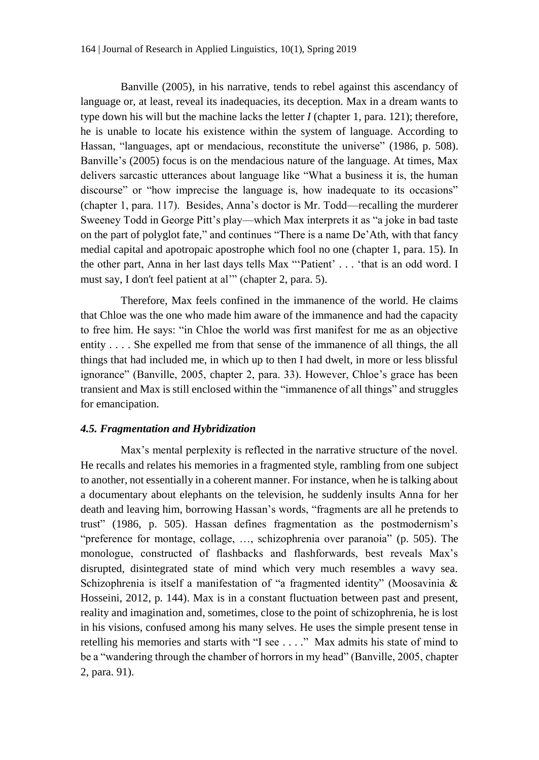Banville (2005), in his narrative, tends to rebel against this ascendancy of language or, at least, reveal its inadequacies, its deception. Max in a dream wants to type down his will but the machine lacks the letter *I* (chapter 1, para. 121); therefore, he is unable to locate his existence within the system of language. According to Hassan, "languages, apt or mendacious, reconstitute the universe" (1986, p. 508). Banville's (2005) focus is on the mendacious nature of the language. At times, Max delivers sarcastic utterances about language like "What a business it is, the human discourse" or "how imprecise the language is, how inadequate to its occasions" (chapter 1, para. 117). Besides, Anna's doctor is Mr. Todd—recalling the murderer Sweeney Todd in George Pitt's play—which Max interprets it as "a joke in bad taste on the part of polyglot fate," and continues "There is a name De'Ath, with that fancy medial capital and apotropaic apostrophe which fool no one (chapter 1, para. 15). In the other part, Anna in her last days tells Max "'Patient' . . . 'that is an odd word. I must say, I don't feel patient at al'" (chapter 2, para. 5).

Therefore, Max feels confined in the immanence of the world. He claims that Chloe was the one who made him aware of the immanence and had the capacity to free him. He says: "in Chloe the world was first manifest for me as an objective entity . . . . She expelled me from that sense of the immanence of all things, the all things that had included me, in which up to then I had dwelt, in more or less blissful ignorance" (Banville, 2005, chapter 2, para. 33). However, Chloe's grace has been transient and Max is still enclosed within the "immanence of all things" and struggles for emancipation.

# *4.5. Fragmentation and Hybridization*

Max's mental perplexity is reflected in the narrative structure of the novel. He recalls and relates his memories in a fragmented style, rambling from one subject to another, not essentially in a coherent manner. For instance, when he is talking about a documentary about elephants on the television, he suddenly insults Anna for her death and leaving him, borrowing Hassan's words, "fragments are all he pretends to trust" (1986, p. 505). Hassan defines fragmentation as the postmodernism's "preference for montage, collage, …, schizophrenia over paranoia" (p. 505). The monologue, constructed of flashbacks and flashforwards, best reveals Max's disrupted, disintegrated state of mind which very much resembles a wavy sea. Schizophrenia is itself a manifestation of "a fragmented identity" (Moosavinia & Hosseini, 2012, p. 144). Max is in a constant fluctuation between past and present, reality and imagination and, sometimes, close to the point of schizophrenia, he is lost in his visions, confused among his many selves. He uses the simple present tense in retelling his memories and starts with "I see . . . ." Max admits his state of mind to be a "wandering through the chamber of horrors in my head" (Banville, 2005, chapter 2, para. 91).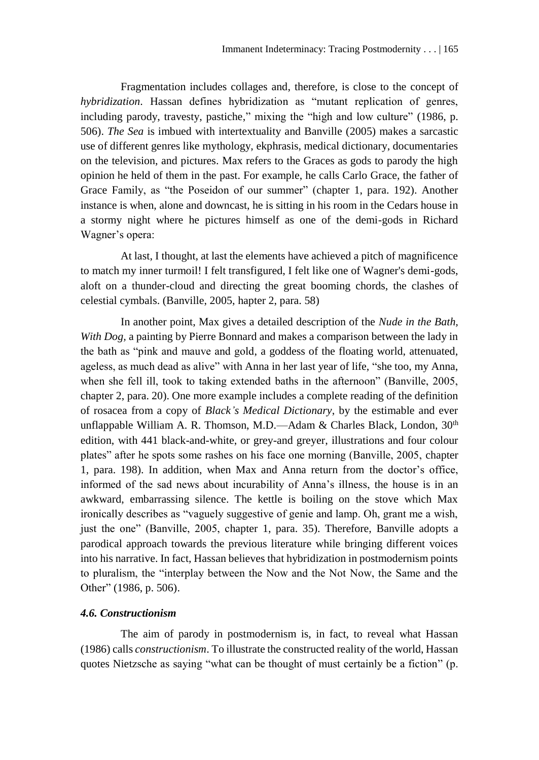Fragmentation includes collages and, therefore, is close to the concept of *hybridization*. Hassan defines hybridization as "mutant replication of genres, including parody, travesty, pastiche," mixing the "high and low culture" (1986, p. 506). *The Sea* is imbued with intertextuality and Banville (2005) makes a sarcastic use of different genres like mythology, ekphrasis, medical dictionary, documentaries on the television, and pictures. Max refers to the Graces as gods to parody the high opinion he held of them in the past. For example, he calls Carlo Grace, the father of Grace Family, as "the Poseidon of our summer" (chapter 1, para. 192). Another instance is when, alone and downcast, he is sitting in his room in the Cedars house in a stormy night where he pictures himself as one of the demi-gods in Richard Wagner's opera:

At last, I thought, at last the elements have achieved a pitch of magnificence to match my inner turmoil! I felt transfigured, I felt like one of Wagner's demi-gods, aloft on a thunder-cloud and directing the great booming chords, the clashes of celestial cymbals. (Banville, 2005, hapter 2, para. 58)

In another point, Max gives a detailed description of the *Nude in the Bath, With Dog,* a painting by Pierre Bonnard and makes a comparison between the lady in the bath as "pink and mauve and gold, a goddess of the floating world, attenuated, ageless, as much dead as alive" with Anna in her last year of life, "she too, my Anna, when she fell ill, took to taking extended baths in the afternoon" (Banville, 2005, chapter 2, para. 20). One more example includes a complete reading of the definition of rosacea from a copy of *Black's Medical Dictionary*, by the estimable and ever unflappable William A. R. Thomson, M.D.—Adam & Charles Black, London,  $30<sup>th</sup>$ edition, with 441 black-and-white, or grey-and greyer, illustrations and four colour plates" after he spots some rashes on his face one morning (Banville, 2005, chapter 1, para. 198). In addition, when Max and Anna return from the doctor's office, informed of the sad news about incurability of Anna's illness, the house is in an awkward, embarrassing silence. The kettle is boiling on the stove which Max ironically describes as "vaguely suggestive of genie and lamp. Oh, grant me a wish, just the one" (Banville, 2005, chapter 1, para. 35). Therefore, Banville adopts a parodical approach towards the previous literature while bringing different voices into his narrative. In fact, Hassan believes that hybridization in postmodernism points to pluralism, the "interplay between the Now and the Not Now, the Same and the Other" (1986, p. 506).

# *4.6. Constructionism*

The aim of parody in postmodernism is, in fact, to reveal what Hassan (1986) calls *constructionism*. To illustrate the constructed reality of the world, Hassan quotes Nietzsche as saying "what can be thought of must certainly be a fiction" (p.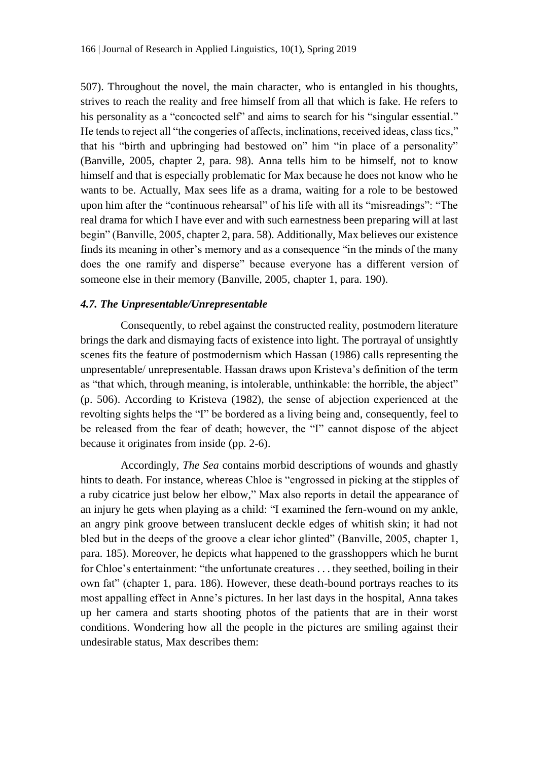507). Throughout the novel, the main character, who is entangled in his thoughts, strives to reach the reality and free himself from all that which is fake. He refers to his personality as a "concocted self" and aims to search for his "singular essential." He tends to reject all "the congeries of affects, inclinations, received ideas, class tics," that his "birth and upbringing had bestowed on" him "in place of a personality" (Banville, 2005, chapter 2, para. 98). Anna tells him to be himself, not to know himself and that is especially problematic for Max because he does not know who he wants to be. Actually, Max sees life as a drama, waiting for a role to be bestowed upon him after the "continuous rehearsal" of his life with all its "misreadings": "The real drama for which I have ever and with such earnestness been preparing will at last begin" (Banville, 2005, chapter 2, para. 58). Additionally, Max believes our existence finds its meaning in other's memory and as a consequence "in the minds of the many does the one ramify and disperse" because everyone has a different version of someone else in their memory (Banville, 2005, chapter 1, para. 190).

# *4.7. The Unpresentable/Unrepresentable*

Consequently, to rebel against the constructed reality, postmodern literature brings the dark and dismaying facts of existence into light. The portrayal of unsightly scenes fits the feature of postmodernism which Hassan (1986) calls representing the unpresentable/ unrepresentable. Hassan draws upon Kristeva's definition of the term as "that which, through meaning, is intolerable, unthinkable: the horrible, the abject" (p. 506). According to Kristeva (1982), the sense of abjection experienced at the revolting sights helps the "I" be bordered as a living being and, consequently, feel to be released from the fear of death; however, the "I" cannot dispose of the abject because it originates from inside (pp. 2-6).

Accordingly, *The Sea* contains morbid descriptions of wounds and ghastly hints to death. For instance, whereas Chloe is "engrossed in picking at the stipples of a ruby cicatrice just below her elbow," Max also reports in detail the appearance of an injury he gets when playing as a child: "I examined the fern-wound on my ankle, an angry pink groove between translucent deckle edges of whitish skin; it had not bled but in the deeps of the groove a clear ichor glinted" (Banville, 2005, chapter 1, para. 185). Moreover, he depicts what happened to the grasshoppers which he burnt for Chloe's entertainment: "the unfortunate creatures . . . they seethed, boiling in their own fat" (chapter 1, para. 186). However, these death-bound portrays reaches to its most appalling effect in Anne's pictures. In her last days in the hospital, Anna takes up her camera and starts shooting photos of the patients that are in their worst conditions. Wondering how all the people in the pictures are smiling against their undesirable status, Max describes them: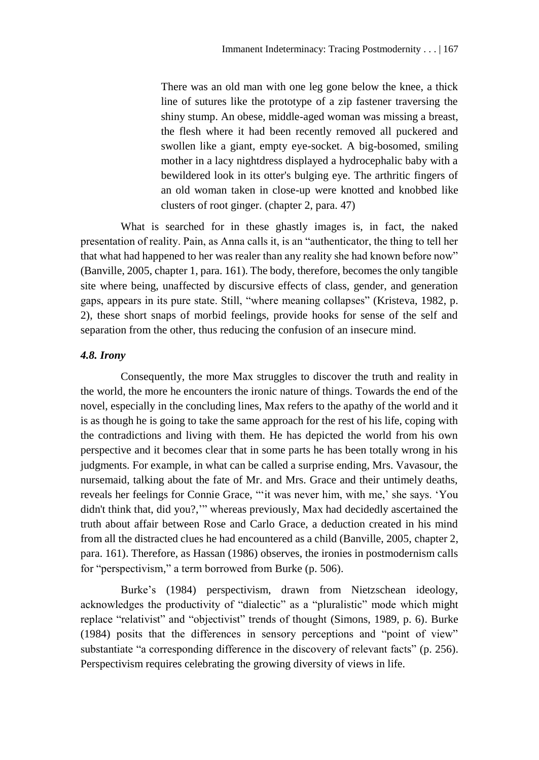There was an old man with one leg gone below the knee, a thick line of sutures like the prototype of a zip fastener traversing the shiny stump. An obese, middle-aged woman was missing a breast, the flesh where it had been recently removed all puckered and swollen like a giant, empty eye-socket. A big-bosomed, smiling mother in a lacy nightdress displayed a hydrocephalic baby with a bewildered look in its otter's bulging eye. The arthritic fingers of an old woman taken in close-up were knotted and knobbed like clusters of root ginger. (chapter 2, para. 47)

What is searched for in these ghastly images is, in fact, the naked presentation of reality. Pain, as Anna calls it, is an "authenticator, the thing to tell her that what had happened to her was realer than any reality she had known before now" (Banville, 2005, chapter 1, para. 161). The body, therefore, becomes the only tangible site where being, unaffected by discursive effects of class, gender, and generation gaps, appears in its pure state. Still, "where meaning collapses" (Kristeva, 1982, p. 2), these short snaps of morbid feelings, provide hooks for sense of the self and separation from the other, thus reducing the confusion of an insecure mind.

# *4.8. Irony*

Consequently, the more Max struggles to discover the truth and reality in the world, the more he encounters the ironic nature of things. Towards the end of the novel, especially in the concluding lines, Max refers to the apathy of the world and it is as though he is going to take the same approach for the rest of his life, coping with the contradictions and living with them. He has depicted the world from his own perspective and it becomes clear that in some parts he has been totally wrong in his judgments. For example, in what can be called a surprise ending, Mrs. Vavasour, the nursemaid, talking about the fate of Mr. and Mrs. Grace and their untimely deaths, reveals her feelings for Connie Grace, "'it was never him, with me,' she says. 'You didn't think that, did you?,'" whereas previously, Max had decidedly ascertained the truth about affair between Rose and Carlo Grace, a deduction created in his mind from all the distracted clues he had encountered as a child (Banville, 2005, chapter 2, para. 161). Therefore, as Hassan (1986) observes, the ironies in postmodernism calls for "perspectivism," a term borrowed from Burke (p. 506).

Burke's (1984) perspectivism, drawn from Nietzschean ideology, acknowledges the productivity of "dialectic" as a "pluralistic" mode which might replace "relativist" and "objectivist" trends of thought (Simons, 1989, p. 6). Burke (1984) posits that the differences in sensory perceptions and "point of view" substantiate "a corresponding difference in the discovery of relevant facts" (p. 256). Perspectivism requires celebrating the growing diversity of views in life.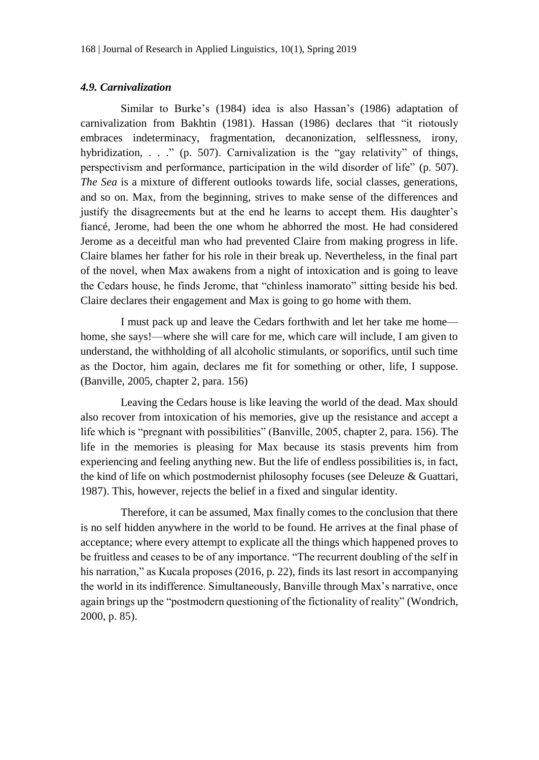### *4.9. Carnivalization*

Similar to Burke's (1984) idea is also Hassan's (1986) adaptation of carnivalization from Bakhtin (1981). Hassan (1986) declares that "it riotously embraces indeterminacy, fragmentation, decanonization, selflessness, irony, hybridization, . . ." (p. 507). Carnivalization is the "gay relativity" of things, perspectivism and performance, participation in the wild disorder of life" (p. 507). *The Sea* is a mixture of different outlooks towards life, social classes, generations, and so on. Max, from the beginning, strives to make sense of the differences and justify the disagreements but at the end he learns to accept them. His daughter's fiancé, Jerome, had been the one whom he abhorred the most. He had considered Jerome as a deceitful man who had prevented Claire from making progress in life. Claire blames her father for his role in their break up. Nevertheless, in the final part of the novel, when Max awakens from a night of intoxication and is going to leave the Cedars house, he finds Jerome, that "chinless inamorato" sitting beside his bed. Claire declares their engagement and Max is going to go home with them.

I must pack up and leave the Cedars forthwith and let her take me home home, she says!—where she will care for me, which care will include, I am given to understand, the withholding of all alcoholic stimulants, or soporifics, until such time as the Doctor, him again, declares me fit for something or other, life, I suppose. (Banville, 2005, chapter 2, para. 156)

Leaving the Cedars house is like leaving the world of the dead. Max should also recover from intoxication of his memories, give up the resistance and accept a life which is "pregnant with possibilities" (Banville, 2005, chapter 2, para. 156). The life in the memories is pleasing for Max because its stasis prevents him from experiencing and feeling anything new. But the life of endless possibilities is, in fact, the kind of life on which postmodernist philosophy focuses (see Deleuze & Guattari, 1987). This, however, rejects the belief in a fixed and singular identity.

Therefore, it can be assumed, Max finally comes to the conclusion that there is no self hidden anywhere in the world to be found. He arrives at the final phase of acceptance; where every attempt to explicate all the things which happened proves to be fruitless and ceases to be of any importance. "The recurrent doubling of the self in his narration," as Kucala proposes (2016, p. 22), finds its last resort in accompanying the world in its indifference. Simultaneously, Banville through Max's narrative, once again brings up the "postmodern questioning of the fictionality of reality" (Wondrich, 2000, p. 85).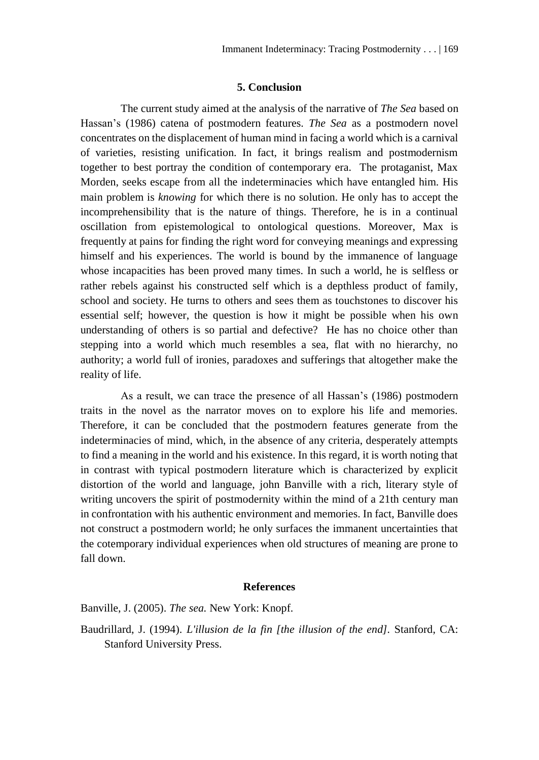### **5. Conclusion**

The current study aimed at the analysis of the narrative of *The Sea* based on Hassan's (1986) catena of postmodern features. *The Sea* as a postmodern novel concentrates on the displacement of human mind in facing a world which is a carnival of varieties, resisting unification. In fact, it brings realism and postmodernism together to best portray the condition of contemporary era. The protaganist, Max Morden, seeks escape from all the indeterminacies which have entangled him. His main problem is *knowing* for which there is no solution. He only has to accept the incomprehensibility that is the nature of things. Therefore, he is in a continual oscillation from epistemological to ontological questions. Moreover, Max is frequently at pains for finding the right word for conveying meanings and expressing himself and his experiences. The world is bound by the immanence of language whose incapacities has been proved many times. In such a world, he is selfless or rather rebels against his constructed self which is a depthless product of family, school and society. He turns to others and sees them as touchstones to discover his essential self; however, the question is how it might be possible when his own understanding of others is so partial and defective? He has no choice other than stepping into a world which much resembles a sea, flat with no hierarchy, no authority; a world full of ironies, paradoxes and sufferings that altogether make the reality of life.

As a result, we can trace the presence of all Hassan's (1986) postmodern traits in the novel as the narrator moves on to explore his life and memories. Therefore, it can be concluded that the postmodern features generate from the indeterminacies of mind, which, in the absence of any criteria, desperately attempts to find a meaning in the world and his existence. In this regard, it is worth noting that in contrast with typical postmodern literature which is characterized by explicit distortion of the world and language, john Banville with a rich, literary style of writing uncovers the spirit of postmodernity within the mind of a 21th century man in confrontation with his authentic environment and memories. In fact, Banville does not construct a postmodern world; he only surfaces the immanent uncertainties that the cotemporary individual experiences when old structures of meaning are prone to fall down.

#### **References**

Banville, J. (2005). *The sea.* New York: Knopf.

Baudrillard, J. (1994). *L'illusion de la fin [the illusion of the end].* Stanford, CA: Stanford University Press.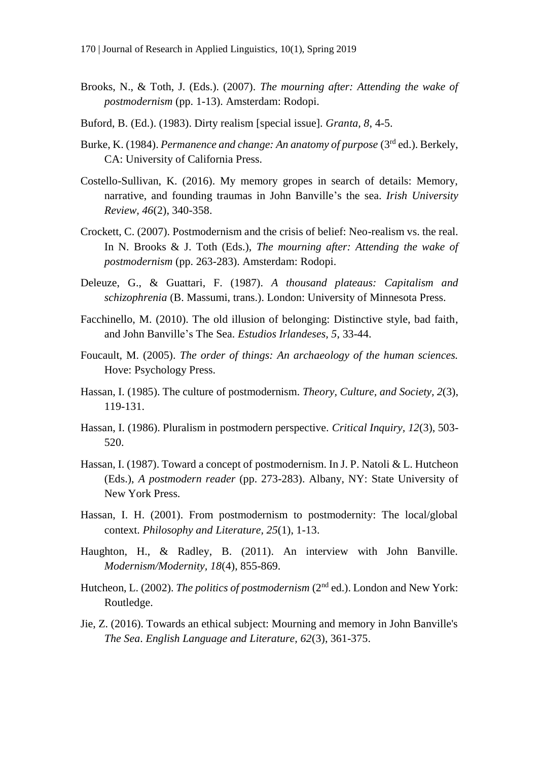- Brooks, N., & Toth, J. (Eds.). (2007). *The mourning after: Attending the wake of postmodernism* (pp. 1-13). Amsterdam: Rodopi.
- Buford, B. (Ed.). (1983). Dirty realism [special issue]. *Granta, 8*, 4-5.
- Burke, K. (1984). *Permanence and change: An anatomy of purpose* (3rd ed.). Berkely, CA: University of California Press.
- Costello-Sullivan, K. (2016). My memory gropes in search of details: Memory, narrative, and founding traumas in John Banville's the sea. *Irish University Review, 46*(2), 340-358.
- Crockett, C. (2007). Postmodernism and the crisis of belief: Neo-realism vs. the real. In N. Brooks & J. Toth (Eds.), *The mourning after: Attending the wake of postmodernism* (pp. 263-283). Amsterdam: Rodopi.
- Deleuze, G., & Guattari, F. (1987). *A thousand plateaus: Capitalism and schizophrenia* (B. Massumi, trans.). London: University of Minnesota Press.
- Facchinello, M. (2010). The old illusion of belonging: Distinctive style, bad faith, and John Banville's The Sea. *Estudios Irlandeses, 5*, 33-44.
- Foucault, M. (2005). *The order of things: An archaeology of the human sciences.* Hove: Psychology Press.
- Hassan, I. (1985). The culture of postmodernism. *Theory, Culture, and Society, 2*(3), 119-131.
- Hassan, I. (1986). Pluralism in postmodern perspective. *Critical Inquiry, 12*(3), 503- 520.
- Hassan, I. (1987). Toward a concept of postmodernism. In J. P. Natoli & L. Hutcheon (Eds.), *A postmodern reader* (pp. 273-283). Albany, NY: State University of New York Press.
- Hassan, I. H. (2001). From postmodernism to postmodernity: The local/global context. *Philosophy and Literature, 25*(1), 1-13.
- Haughton, H., & Radley, B. (2011). An interview with John Banville. *Modernism/Modernity, 18*(4), 855-869.
- Hutcheon, L. (2002). *The politics of postmodernism* (2<sup>nd</sup> ed.). London and New York: Routledge.
- Jie, Z. (2016). Towards an ethical subject: Mourning and memory in John Banville's *The Sea*. *English Language and Literature, 62*(3), 361-375.